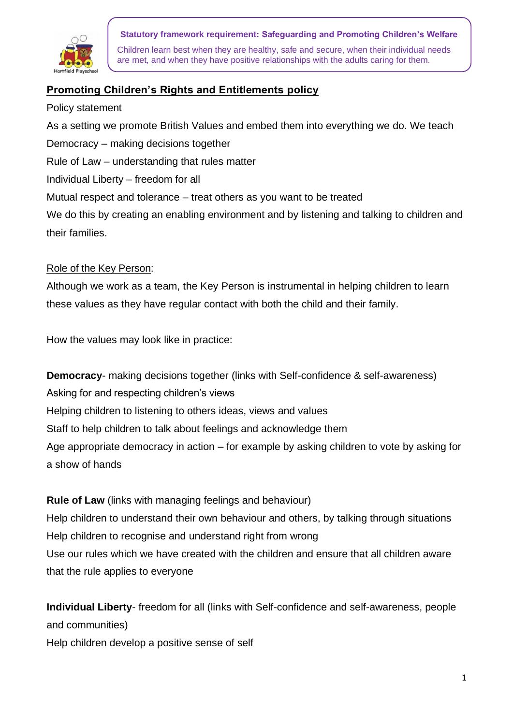

#### **Statutory framework requirement: Safeguarding and Promoting Children's Welfare**

Children learn best when they are healthy, safe and secure, when their individual needs are met, and when they have positive relationships with the adults caring for them.

# **Promoting Children's Rights and Entitlements policy**

Policy statement

As a setting we promote British Values and embed them into everything we do. We teach Democracy – making decisions together

Rule of Law – understanding that rules matter

Individual Liberty – freedom for all

Mutual respect and tolerance – treat others as you want to be treated

We do this by creating an enabling environment and by listening and talking to children and their families.

### Role of the Key Person:

Although we work as a team, the Key Person is instrumental in helping children to learn these values as they have regular contact with both the child and their family.

How the values may look like in practice:

**Democracy**- making decisions together (links with Self-confidence & self-awareness) Asking for and respecting children's views Helping children to listening to others ideas, views and values Staff to help children to talk about feelings and acknowledge them Age appropriate democracy in action – for example by asking children to vote by asking for a show of hands

**Rule of Law** (links with managing feelings and behaviour) Help children to understand their own behaviour and others, by talking through situations Help children to recognise and understand right from wrong Use our rules which we have created with the children and ensure that all children aware that the rule applies to everyone

**Individual Liberty**- freedom for all (links with Self-confidence and self-awareness, people and communities)

Help children develop a positive sense of self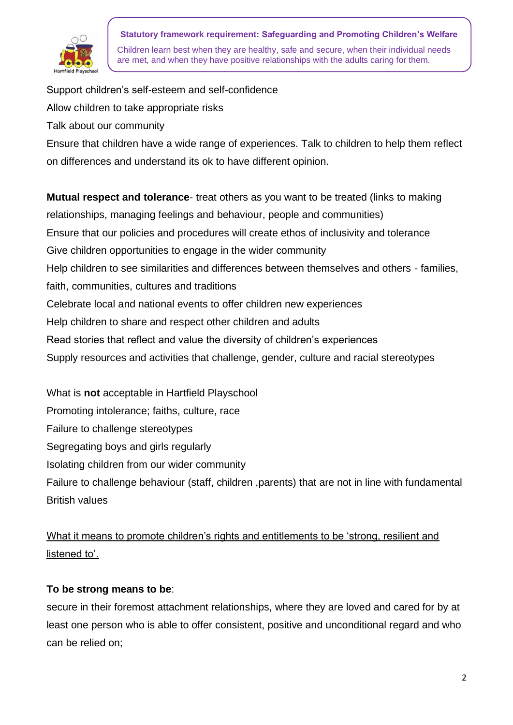

**Statutory framework requirement: Safeguarding and Promoting Children's Welfare** Children learn best when they are healthy, safe and secure, when their individual needs are met, and when they have positive relationships with the adults caring for them.

Support children's self-esteem and self-confidence Allow children to take appropriate risks Talk about our community Ensure that children have a wide range of experiences. Talk to children to help them reflect on differences and understand its ok to have different opinion. **Mutual respect and tolerance**- treat others as you want to be treated (links to making relationships, managing feelings and behaviour, people and communities) Ensure that our policies and procedures will create ethos of inclusivity and tolerance Give children opportunities to engage in the wider community Help children to see similarities and differences between themselves and others - families, faith, communities, cultures and traditions Celebrate local and national events to offer children new experiences Help children to share and respect other children and adults Read stories that reflect and value the diversity of children's experiences Supply resources and activities that challenge, gender, culture and racial stereotypes

What is **not** acceptable in Hartfield Playschool Promoting intolerance; faiths, culture, race Failure to challenge stereotypes Segregating boys and girls regularly Isolating children from our wider community Failure to challenge behaviour (staff, children ,parents) that are not in line with fundamental British values

# What it means to promote children's rights and entitlements to be 'strong, resilient and listened to'.

# **To be strong means to be**:

secure in their foremost attachment relationships, where they are loved and cared for by at least one person who is able to offer consistent, positive and unconditional regard and who can be relied on;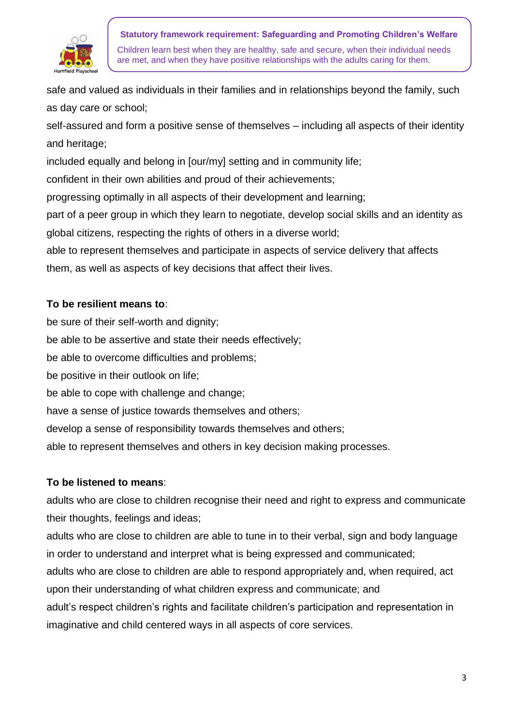

**Statutory framework requirement: Safeguarding and Promoting Children's Welfare** Children learn best when they are healthy, safe and secure, when their individual needs are met, and when they have positive relationships with the adults caring for them.

safe and valued as individuals in their families and in relationships beyond the family, such as day care or school;

self-assured and form a positive sense of themselves – including all aspects of their identity and heritage;

included equally and belong in [our/my] setting and in community life;

confident in their own abilities and proud of their achievements;

progressing optimally in all aspects of their development and learning;

part of a peer group in which they learn to negotiate, develop social skills and an identity as global citizens, respecting the rights of others in a diverse world;

able to represent themselves and participate in aspects of service delivery that affects them, as well as aspects of key decisions that affect their lives.

### **To be resilient means to**:

be sure of their self-worth and dignity; be able to be assertive and state their needs effectively; be able to overcome difficulties and problems; be positive in their outlook on life; be able to cope with challenge and change; have a sense of justice towards themselves and others; develop a sense of responsibility towards themselves and others; able to represent themselves and others in key decision making processes.

### **To be listened to means**:

adults who are close to children recognise their need and right to express and communicate their thoughts, feelings and ideas;

adults who are close to children are able to tune in to their verbal, sign and body language in order to understand and interpret what is being expressed and communicated;

adults who are close to children are able to respond appropriately and, when required, act upon their understanding of what children express and communicate; and

adult's respect children's rights and facilitate children's participation and representation in imaginative and child centered ways in all aspects of core services.